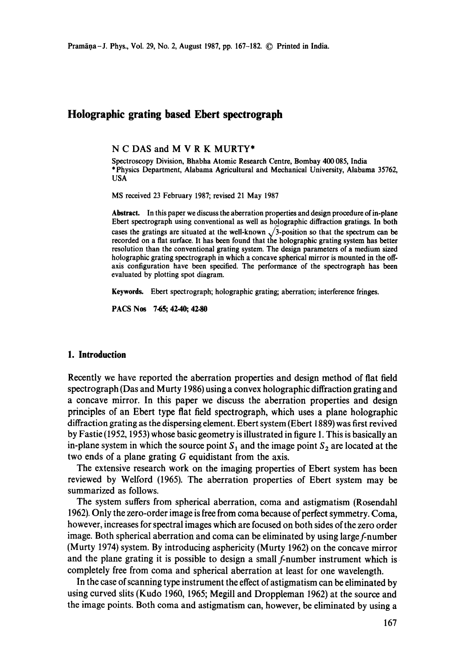# **Holographic grating based Ebert spectrograph**

**N C** DAS and **M V R K** MURTY\*

Spectroscopy Division, Bhabha Atomic Research Centre, Bombay 400 085, India \*Physics Department, Alabama Agricultural and Mechanical University, Alabama 35762, USA

MS received 23 February 1987; revised 21 May 1987

Abstract. In this paper we discuss the aberration properties and design procedure of in-plane Ebert spectrograph using conventional as well as holographic diffraction gratings. In **both**  cases the gratings are situated at the well-known  $\sqrt{3}$ -position so that the spectrum can be recorded on a flat surface. It has been found that the holographic grating system has better resolution than the conventional grating system. The design parameters of a medium sized holographic grating spectrograph in which a concave spherical mirror is mounted in the offaxis configuration have been specified. The performance of the spectrograph has been evaluated by plotting spot diagram.

Keywords. Ebert spectrograph; holographic grating; aberration; interference fringes.

PACS Nos 7.65; 42.40; **42.80** 

#### **1. Introduction**

Recently we have reported the aberration properties and design method of flat field spectrograph (Das and Murty 1986) using a convex holographic diffraction grating and a concave mirror. In this paper we discuss the aberration properties and design principles of an Ebert type flat field spectrograph, which uses a plane holographic diffraction grating as the dispersing element. Ebert system (Ebert 1889) was first revived by Fastie (1952, 1953) whose basic geometry is illustrated in figure 1. This is basically an in-plane system in which the source point  $S_1$  and the image point  $S_2$  are located at the two ends of a plane grating G equidistant from the axis.

The extensive research work on the imaging properties of Ebert system has been reviewed by Welford (1965). The aberration properties of Ebert system may be summarized as follows.

The system suffers from spherical aberration, coma and astigmatism (Rosendahl 1962). Only the zero-order image is free from coma because of perfect symmetry. Coma, however, increases for spectral images which are focused on both sides of the zero order image. Both spherical aberration and coma can be eliminated by using large f-number (Murty 1974) system. By introducing asphericity (Murty 1962) on the concave mirror and the plane grating it is possible to design a small f-number instrument which is completely free from coma and spherical aberration at least for one wavelength.

In the case of scanning type instrument the effect of astigmatism can be eliminated by using curved slits (Kudo t960, 1965; Megill and Droppleman 1962) at the source and the image points. Both coma and astigmatism can, however, be eliminated by using a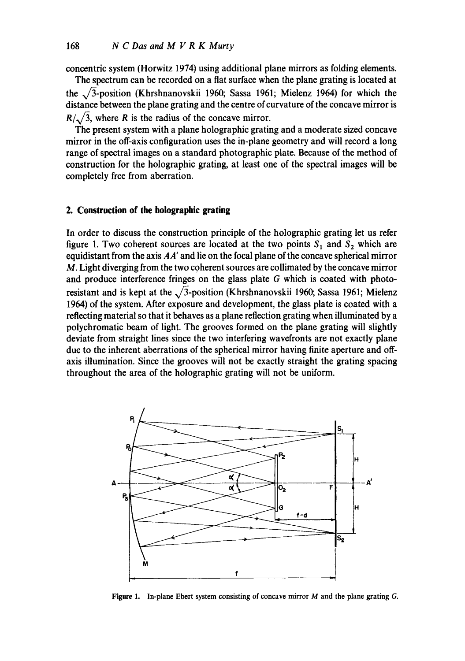concentric system (Horwitz 1974) using additional plane mirrors as folding elements.

The spectrum can be recorded on a fiat surface when the plane grating is located at the  $\sqrt{3}$ -position (Khrshnanovskii 1960; Sassa 1961; Mielenz 1964) for which the distance between the plane grating and the centre of curvature of the concave mirror is  $R/\sqrt{3}$ , where R is the radius of the concave mirror.

The present system with a plane holographic grating and a moderate sized concave mirror in the off-axis configuration uses the in-plane geometry and will record a long range of spectral images on a standard photographic plate. Because of the method of construction for the holographic grating, at least one of the spectral images will be completely free from aberration.

## **2. Construction of the holographic grating**

In order to discuss the construction principle of the holographic grating let us refer figure 1. Two coherent sources are located at the two points  $S_1$  and  $S_2$  which are equidistant from the axis *AA'* and lie on the focal plane of the concave spherical mirror M. Light diverging from the two coherent sources are collimated by the concave mirror and produce interference fringes on the glass plate G which is coated with photoresistant and is kept at the  $\sqrt{3}$ -position (Khrshnanovskii 1960; Sassa 1961; Mielenz 1964) of the system. After exposure and development, the glass plate is coated with a reflecting material so that it behaves as a plane reflection grating when illuminated by a polychromatic beam of light. The grooves formed on the plane grating will slightly deviate from straight lines since the two interfering wavefronts are not exactly plane due to the inherent aberrations of the spherical mirror having finite aperture and offaxis illumination. Since the grooves will not be exactly straight the grating spacing throughout the area of the holographic grating will not be uniform.



**Figure** 1. In-plane Ebcrt system consisting of concave mirror M and the plane grating G.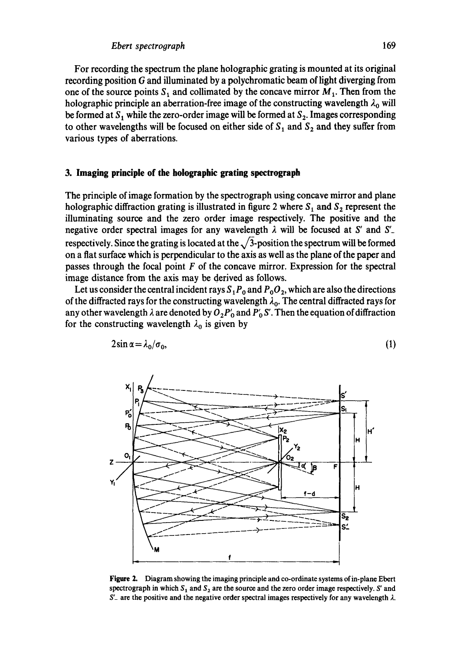For recording the spectrum the plane holographic grating is mounted at its original recording position  $G$  and illuminated by a polychromatic beam of light diverging from one of the source points  $S_1$  and collimated by the concave mirror  $M_1$ . Then from the holographic principle an aberration-free image of the constructing wavelength  $\lambda_0$  will be formed at  $S_1$  while the zero-order image will be formed at  $S_2$ . Images corresponding to other wavelengths will be focused on either side of  $S_1$  and  $S_2$  and they suffer from various types of aberrations.

## **3. Imaging principle of the holographic grating spectrograph**

The principle of image formation by the spectrograph using concave mirror and plane holographic diffraction grating is illustrated in figure 2 where  $S_1$  and  $S_2$  represent the illuminating source and the zero order image respectively. The positive and the negative order spectral images for any wavelength  $\lambda$  will be focused at S' and S' respectively. Since the grating is located at the  $\sqrt{3}$ -position the spectrum will be formed on a flat surface which is perpendicular to the axis as well as the plane of the paper and passes through the focal point  $F$  of the concave mirror. Expression for the spectral image distance from the axis may be derived as follows.

Let us consider the central incident rays  $S_1P_0$  and  $P_0O_2$ , which are also the directions of the diffracted rays for the constructing wavelength  $\lambda_0$ . The central diffracted rays for any other wavelength  $\lambda$  are denoted by  $O_2P'_0$  and  $P'_0$  S'. Then the equation of diffraction for the constructing wavelength  $\lambda_0$  is given by



$$
2\sin\alpha = \lambda_0/\sigma_0,\tag{1}
$$

**Figure 2.** Diagram showing the imaging principle and co-ordinate systems of in-plane Ebert spectrograph in which  $S_1$  and  $S_2$  are the source and the zero order image respectively. S' and  $S'$  are the positive and the negative order spectral images respectively for any wavelength  $\lambda$ .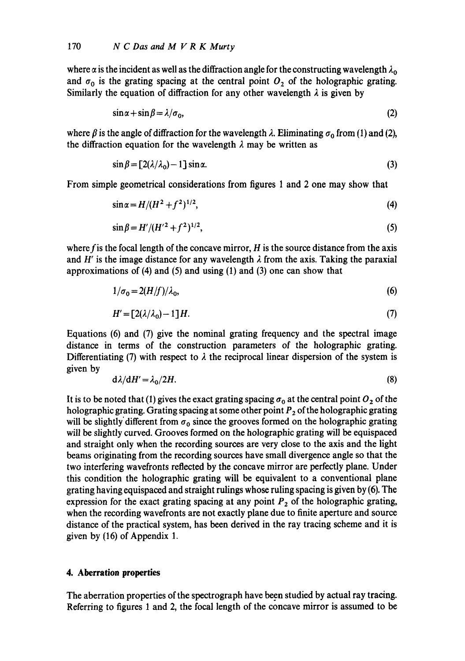where  $\alpha$  is the incident as well as the diffraction angle for the constructing wavelength  $\lambda_0$ and  $\sigma_0$  is the grating spacing at the central point  $O_2$  of the holographic grating. Similarly the equation of diffraction for any other wavelength  $\lambda$  is given by

$$
\sin \alpha + \sin \beta = \lambda / \sigma_0, \tag{2}
$$

where  $\beta$  is the angle of diffraction for the wavelength  $\lambda$ . Eliminating  $\sigma_0$  from (1) and (2), the diffraction equation for the wavelength  $\lambda$  may be written as

$$
\sin \beta = [2(\lambda/\lambda_0) - 1] \sin \alpha. \tag{3}
$$

From simple geometrical considerations from figures 1 and 2 one may show that

$$
\sin \alpha = H/(H^2 + f^2)^{1/2},\tag{4}
$$

$$
\sin \beta = H' / (H'^2 + f^2)^{1/2},\tag{5}
$$

where f is the focal length of the concave mirror,  $H$  is the source distance from the axis and H' is the image distance for any wavelength  $\lambda$  from the axis. Taking the paraxial approximations of (4) and (5) and using (1) and (3) one can show that

$$
1/\sigma_0 = 2(H/f)/\lambda_0,\tag{6}
$$

$$
H' = [2(\lambda/\lambda_0) - 1]H. \tag{7}
$$

Equations (6) and (7) give the nominal grating frequency and the spectral image distance in terms of the construction parameters of the holographic grating. Differentiating (7) with respect to  $\lambda$  the reciprocal linear dispersion of the system is given by

$$
d\lambda/dH' = \lambda_0/2H.
$$
 (8)

It is to be noted that (1) gives the exact grating spacing  $\sigma_0$  at the central point  $O_2$  of the holographic grating. Grating spacing at some other point  $P_2$  of the holographic grating will be slightly different from  $\sigma_0$  since the grooves formed on the holographic grating will be slightly curved. Grooves formed on the holographic grating will be equispaced and straight only when the recording sources are very close to the axis and the light beams originating from the recording sources have small divergence angle so that the two interfering wavefronts reflected by the concave mirror are perfectly plane. Under this condition the holographic grating will be equivalent to a conventional plane grating having equispaced and straight rulings whose ruling spacing is given by (6). The expression for the exact grating spacing at any point  $P_2$  of the holographic grating, when the recording wavefronts are not exactly plane due to finite aperture and source distance of the practical system, has been derived in the ray tracing scheme and it is given by (16) of Appendix 1.

### **4. Aberration properties**

The aberration properties of the spectrograph have been studied by actual ray tracing. Referring to figures 1 and 2, the focal length of the concave mirror is assumed to be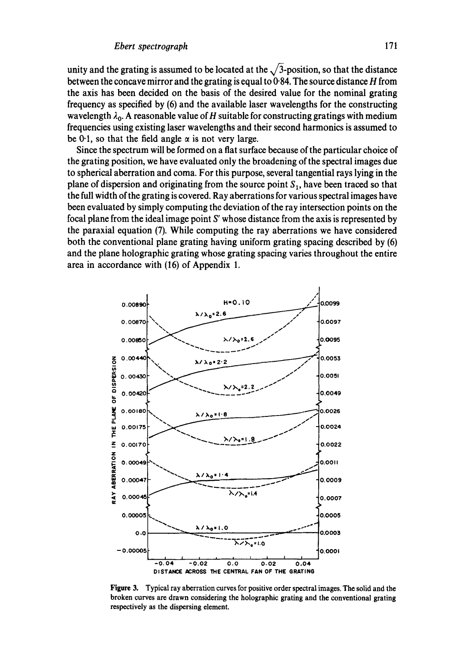unity and the grating is assumed to be located at the  $\sqrt{3}$ -position, so that the distance **between the concave mirror and the grating is equal to 0"84. The source distance H from the axis has been decided on the basis of the desired value for the nominal grating frequency as specified by (6) and the available laser wavelengths for the constructing**  wavelength  $\lambda_0$ . A reasonable value of H suitable for constructing gratings with medium **frequencies using existing laser wavelengths and their second harmonics is assumed to**  be 0.1, so that the field angle  $\alpha$  is not very large.

**Since the spectrum will be formed on a flat surface because of the particular choice of the grating position, we have evaluated only the broadening of the spectral images due to spherical aberration and coma. For this purpose, several tangential rays lying in the**  plane of dispersion and originating from the source point  $S_1$ , have been traced so that **the full width of the grating is covered. Ray aberrations for various spectral images have been evaluated by simply computing the deviation of the ray intersection points on the focal plane from the ideal image point S' whose distance from the axis is represented by the paraxial equation (7). While computing the ray aberrations we have considered both the conventional plane grating having uniform grating spacing described by (6) and the plane holographic grating whose grating spacing varies throughout the entire area in accordance with (16) of Appendix 1.** 



**Figure 3, Typical ray aberration curves for positive order spectral images. The solid and the broken curves are drawn considering the holographic grating and the conventional grating respectively as the dispersing element.**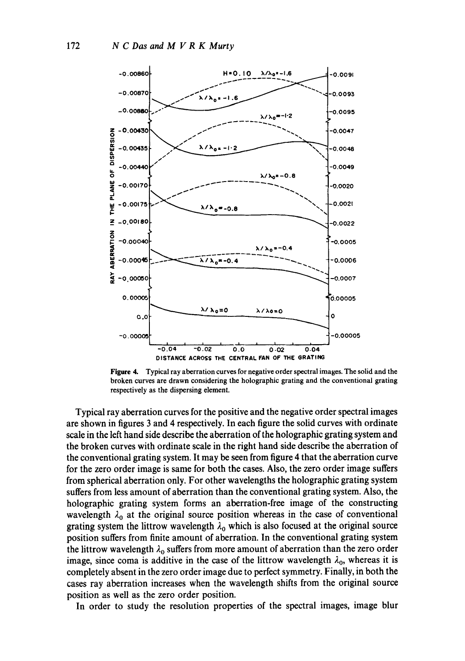

**Figure 4. Typical ray aberration curves for negative order spectral images. The solid and the broken curves are drawn considering the holographic grating and the conventional grating respectively as the dispersing element.** 

**Typical ray aberration curves for the positive and the negative order spectral images are shown in figures 3 and 4 respectively. In each figure the solid curves with ordinate scale in the left hand side describe the aberration of the holographic grating system and the broken curves with ordinate scale in the right hand side describe the aberration of the conventional grating system. It may be seen from figure 4 that the aberration curve for the zero order image is same for both the cases. Also, the zero order image suffers from spherical aberration only. For other wavelengths the holographic grating system suffers from less amount of aberration than the conventional grating system. Also, the holographic grating system forms an aberration-free image of the constructing**  wavelength  $\lambda_0$  at the original source position whereas in the case of conventional grating system the littrow wavelength  $\lambda_0$  which is also focused at the original source **position suffers from finite amount of aberration. In the conventional grating system**  the littrow wavelength  $\lambda_0$  suffers from more amount of aberration than the zero order image, since coma is additive in the case of the littrow wavelength  $\lambda_0$ , whereas it is **completely absent in the zero order image due to perfect symmetry. Finally, in both the cases ray aberration increases when the wavelength shifts from the original source position as well as the zero order position.** 

**In order to study the resolution properties of the spectral images, image blur**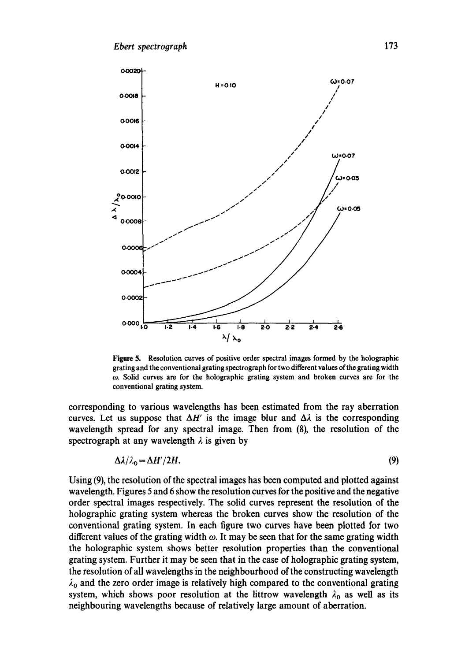

**Figure 5. Resolution curves of positive order spectral images formed by the holographic grating and the conventional grating spectrograph for two different values of the grating width co. Solid curves are for the holographic grating system and broken curves are for the conventional grating system.** 

**corresponding to various wavelengths has been estimated from the ray aberration**  curves. Let us suppose that  $\Delta H'$  is the image blur and  $\Delta \lambda$  is the corresponding **wavelength spread for any spectral image. Then from (8), the resolution of the**  spectrograph at any wavelength  $\lambda$  is given by

$$
\Delta \lambda / \lambda_0 = \Delta H'/2H. \tag{9}
$$

**Using (9), the resolution of the spectral images has been computed and plotted against wavelength. Figures 5 and 6 show the resolution curves for the positive and the negative order spectral images respectively. The solid curves represent the resolution of the holographic grating system whereas the broken curves show the resolution of the conventional grating system. In each figure two curves have been plotted for two**  different values of the grating width  $\omega$ . It may be seen that for the same grating width **the holographic system shows better resolution properties than the conventional grating system. Further it may be seen that in the case of holographic grating system, the resolution of all wavelengths in the neighbourhood of the constructing wavelength**   $\lambda_0$  and the zero order image is relatively high compared to the conventional grating system, which shows poor resolution at the littrow wavelength  $\lambda_0$  as well as its **neighbouring wavelengths because of relatively large amount of aberration.**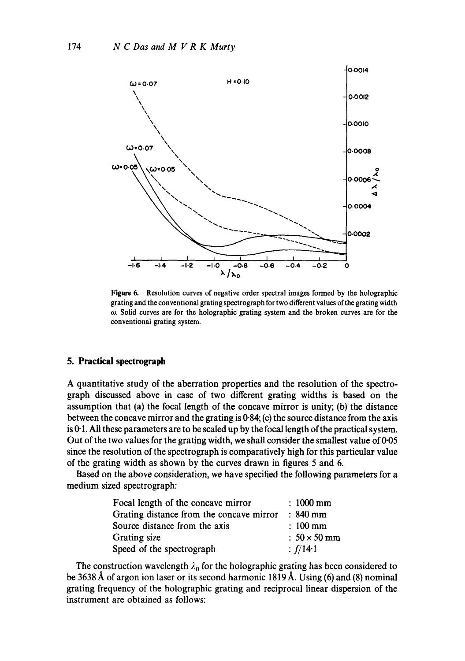

**Figure 6. Resolution curves of negative order spectral images formed by the holographic grating and the conventional grating spectrograph for two different values of the grating width ~o. Solid curves are for the holographic grating system and the broken curves are for the conventional grating system.** 

#### **5. Practical spectrograph**

**A quantitative study of the aberration properties and the resolution of the spectrograph discussed above in case of two different grating widths is based on the assumption that (a) the focal length of the concave mirror is unity; (b) the distance between the concave mirror and the grating is 0-84; (c) the source distance from the axis is 0.1. All these parameters are to be scaled up by the focal length of the practical system. Out of the two values for the grating width, we shall consider the smallest value of 0-05 since the resolution of the spectrograph is comparatively high for this particular value of the grating width as shown by the curves drawn in figures 5 and 6.** 

**Based on the above consideration, we have specified the following parameters for a medium sized spectrograph:** 

| Focal length of the concave mirror       | $: 1000 \text{ mm}$ |
|------------------------------------------|---------------------|
| Grating distance from the concave mirror | $\therefore$ 840 mm |
| Source distance from the axis            | $: 100$ mm          |
| Grating size                             | $: 50 \times 50$ mm |
| Speed of the spectrograph                | : $f/14.1$          |

The construction wavelength  $\lambda_0$  for the holographic grating has been considered to be 3638 Å of argon ion laser or its second harmonic 1819 Å. Using (6) and (8) nominal **grating frequency of the holographic grating and reciprocal linear dispersion of the instrument are obtained as follows:**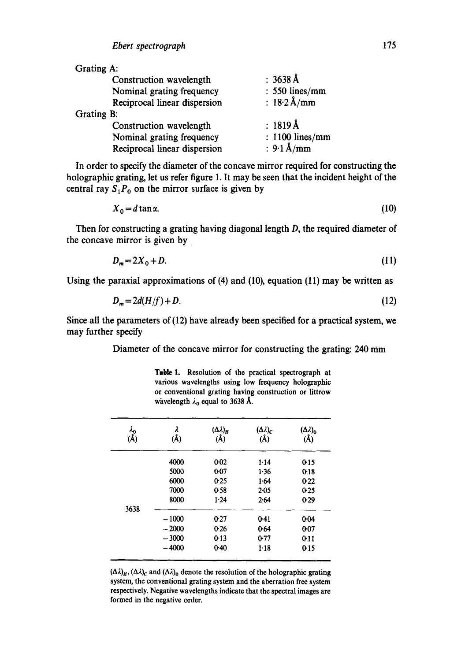| Grating A:                   |                       |
|------------------------------|-----------------------|
| Construction wavelength      | $: 3638 \AA$          |
| Nominal grating frequency    | $: 550$ lines/mm      |
| Reciprocal linear dispersion | : $18.2 \text{ Å/mm}$ |
| Grating B:                   |                       |
| Construction wavelength      | : $1819 \text{\AA}$   |
| Nominal grating frequency    | : $1100$ lines/mm     |
| Reciprocal linear dispersion | : $9.1 \text{\AA/mm}$ |

In order to specify the diameter of the concave mirror required for constructing the holographic grating, let us refer figure 1. It may be seen that the incident height of the central ray  $S_1P_0$  on the mirror surface is given by

$$
X_0 = d \tan \alpha. \tag{10}
$$

Then for constructing a grating having diagonal length D, the required diameter of the concave mirror is given by

$$
D_m = 2X_0 + D.\tag{11}
$$

Using the paraxial approximations of (4) and (10), equation (11) may be written as

$$
D_m = 2d(H/f) + D. \tag{12}
$$

Since all the parameters of (12) have already been specified for a practical system, we may further specify

Diameter of the concave mirror for constructing the grating: 240 mm

Table 1. Resolution of the practical spectrograph at various wavelengths using low frequency holographic or conventional grating having construction or littrow wavelength  $\lambda_0$  equal to 3638 Å.

| $\lambda_{\mathbf{0}}$<br>$(\tilde{A})$ | (Å)     | $(\Delta \lambda)_{\rm H}$<br>(A) | $(\Delta \lambda)_{c}$<br>(Å) | $(\Delta \lambda)_{0}$<br>(A) |
|-----------------------------------------|---------|-----------------------------------|-------------------------------|-------------------------------|
|                                         | 4000    | $0 - 02$                          | 1.14                          | 0.15                          |
|                                         | 5000    | $0 - 07$                          | 1.36                          | 0.18                          |
|                                         | 6000    | 0.25                              | 1.64                          | 0.22                          |
|                                         | 7000    | 0.58                              | $2 - 0.5$                     | 0.25                          |
|                                         | 8000    | 1.24                              | 2.64                          | $0-29$                        |
| 3638                                    |         |                                   |                               |                               |
|                                         | $-1000$ | 0.27                              | $0-41$                        | 0.04                          |
|                                         | $-2000$ | 0.26                              | 0.64                          | $0 - 07$                      |
|                                         | $-3000$ | 0.13                              | $0-77$                        | 0:11                          |
|                                         | $-4000$ | $0-40$                            | $1-18$                        | 0.15                          |

 $(\Delta \lambda)_H$ ,  $(\Delta \lambda)_c$  and  $(\Delta \lambda)_0$  denote the resolution of the holographic grating system, the conventional grating system and the aberration free system respectively. Negative wavelengths indicate that the spectral images are formed in the negative order.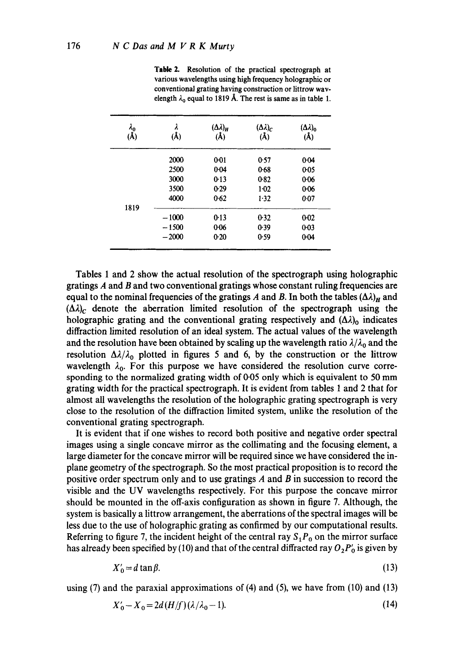| $\lambda_{0}$ (Å) | λ<br>(Å) | $(\Delta \lambda)_H$<br>(Å) | $(\Delta \lambda)_C$<br>$(\AA)$ | $(\Delta \lambda)_0$<br>$(\AA)$ |
|-------------------|----------|-----------------------------|---------------------------------|---------------------------------|
|                   | 2000     | $0 - 01$                    | 0.57                            | $0-04$                          |
|                   | 2500     | $0 - 04$                    | 0.68                            | 0-05                            |
|                   | 3000     | $0-13$                      | 0.82                            | 0.06                            |
|                   | 3500     | 0.29                        | $1 - 02$                        | $0 - 06$                        |
|                   | 4000     | 0.62                        | 1.32                            | 0.07                            |
| 1819              |          |                             |                                 |                                 |
|                   | $-1000$  | 0.13                        | 0.32                            | $0 - 02$                        |
|                   | $-1500$  | $0 - 06$                    | 0.39                            | $0 - 03$                        |
|                   | $-2000$  | 0.20                        | 0.59                            | $0 - 04$                        |

Table 2. Resolution of the practical spectrograph at various wavelengths using high frequency holographic or conventional grating having construction or littrow wavelength  $\lambda_0$  equal to 1819 Å. The rest is same as in table 1.

Tables 1 and 2 show the actual resolution of the spectrograph using holographic gratings A and B and two conventional gratings whose constant ruling frequencies are equal to the nominal frequencies of the gratings A and B. In both the tables  $(\Delta \lambda)_H$  and  $(\Delta \lambda)_c$  denote the aberration limited resolution of the spectrograph using the holographic grating and the conventional grating respectively and  $(\Delta \lambda)_{0}$  indicates diffraction limited resolution of an ideal system. The actual values of the wavelength and the resolution have been obtained by scaling up the wavelength ratio  $\lambda/\lambda_0$  and the resolution  $\Delta\lambda/\lambda_0$  plotted in figures 5 and 6, by the construction or the littrow wavelength  $\lambda_0$ . For this purpose we have considered the resolution curve corresponding to the normalized grating width of 0-05 only which is equivalent to 50 mm grating width for the practical spectrograph. It is evident from tables 1 and 2 that for almost all wavelengths the resolution of the holographic grating spectrograph is very close to the resolution of the diffraction limited system, unlike the resolution of the conventional grating spectrograph.

It is evident that if one wishes to record both positive and negative order spectral images using a single concave mirror as the collimating and the focusing element, a large diameter for the concave mirror will be required since we have considered the inplane geometry of the spectrograph. So the most practical proposition is to record the positive order spectrum only and to use gratings A and B in succession to record the visible and the UV wavelengths respectively. For this purpose the concave mirror should be mounted in the off-axis configuration as shown in figure 7. Although, the system is basically a littrow arrangement, the aberrations of the spectral images will be less due to the use of holographic grating as confirmed by our computational results. Referring to figure 7, the incident height of the central ray  $S_1P_0$  on the mirror surface has already been specified by (10) and that of the central diffracted ray  $O_2P_0'$  is given by

$$
X'_0 = d \tan \beta. \tag{13}
$$

using (7) and the paraxial approximations of (4) and (5), we have from (10) and (13)

$$
X'_0 - X_0 = 2d(H/f)(\lambda/\lambda_0 - 1). \tag{14}
$$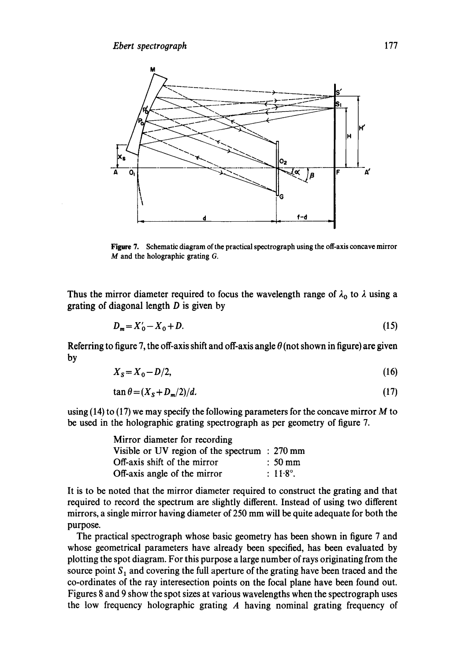

Figure 7. Schematic diagram of the practical spectrograph using the off-axis concave mirror M and the holographic grating G.

Thus the mirror diameter required to focus the wavelength range of  $\lambda_0$  to  $\lambda$  using a grating of diagonal length  $D$  is given by

$$
D_m = X'_0 - X_0 + D. \tag{15}
$$

Referring to figure 7, the off-axis shift and off-axis angle  $\theta$  (not shown in figure) are given by

$$
X_{\rm S} = X_0 - D/2,\tag{16}
$$

$$
\tan \theta = (X_{\rm S} + D_{\rm m}/2)/d. \tag{17}
$$

using  $(14)$  to  $(17)$  we may specify the following parameters for the concave mirror M to be used in the holographic grating spectrograph as per geometry of figure 7.

| Mirror diameter for recording                   |                     |
|-------------------------------------------------|---------------------|
| Visible or UV region of the spectrum $: 270$ mm |                     |
| Off-axis shift of the mirror                    | $: 50 \text{ mm}$   |
| Off-axis angle of the mirror                    | $\therefore$ 11.8°. |

It is to be noted that the mirror diameter required to construct the grating and that required to record the spectrum are slightly different. Instead of using two different mirrors, a single mirror having diameter of 250 mm will be quite adequate for both the purpose.

The practical spectrograph whose basic geometry has been shown in figure 7 and whose geometrical parameters have already been specified, has been evaluated by plotting the spot diagram. For this purpose a large number of rays originating from the source point  $S_1$  and covering the full aperture of the grating have been traced and the co-ordinates of the ray interesection points on the focal plane have been found out. Figures 8 and 9 show the spot sizes at various wavelengths when the spectrograph uses the low frequency holographic grating A having nominal grating frequency of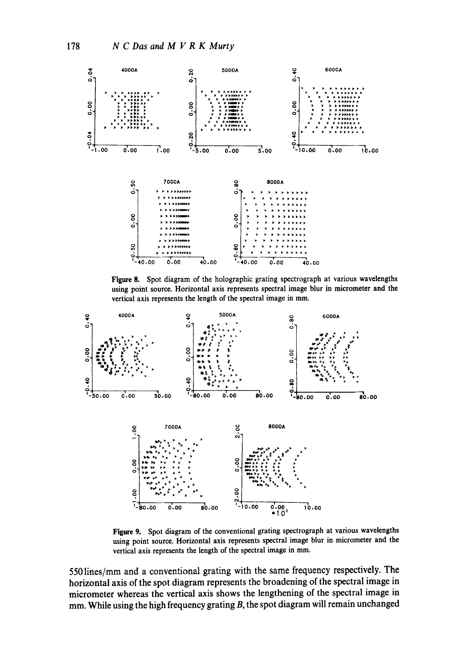

Figure 8. Spot diagram of the holographic grating spectrograph at various wavelengths using point source. Horizontal axis represents spectral image blur in micrometer and the vertical axis represents the length of the spectral image in mm.



Figure 9. Spot diagram of the conventional grating spectrograph at various wavelengths using point source. Horizontal axis represents spectral image blur in micrometer and the vertical axis represents the length of the spectral image in mm.

**5501ines/mm and a conventional grating with the same frequency respectively. The horizontal axis of the spot diagram represents the broadening of the spectral image in micrometer whereas the vertical axis shows the lengthening of the spectral image in mm. While using the high frequency grating B, the spot diagram will remain unchanged**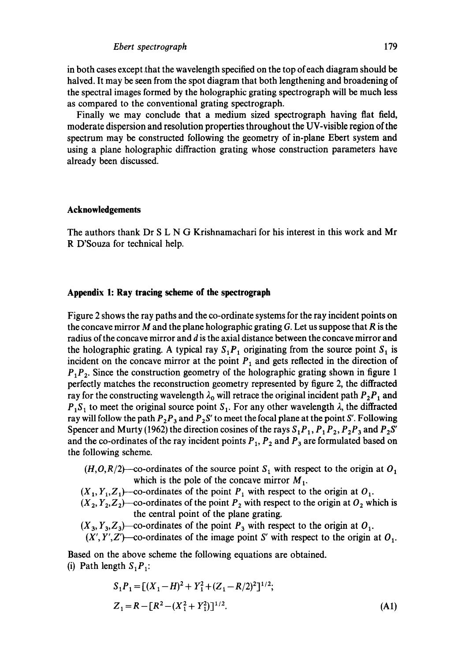in both cases except.that the wavelength specified on the top of each diagram should be halved. It may be seen from the spot diagram that both lengthening and broadening of the spectral images formed by the holographic grating spectrograph will be much less as compared to the conventional grating spectrograph.

Finally we may conclude that a medium sized spectrograph having flat field, moderate dispersion and resolution properties throughout the UV-visible region of the spectrum may be constructed following the geometry of in-plane Ebert system and using a plane holographic diffraction grating whose construction parameters have already been discussed.

### **Acknowledgements**

The authors thank Dr S L N G Krishnamachari for his interest in this work and Mr R D'Souza for technical help.

### **Appendix 1: Ray tracing scheme of the spectrograph**

Figure 2 shows the ray paths and the co-ordinate systems for the ray incident points on the concave mirror M and the plane holographic grating G. Let us suppose that  $R$  is the radius of the concave mirror and d is the axial distance between the concave mirror and the holographic grating. A typical ray  $S_1P_1$  originating from the source point  $S_1$  is incident on the concave mirror at the point  $P_1$  and gets reflected in the direction of  $P_1P_2$ . Since the construction geometry of the holographic grating shown in figure 1 perfectly matches the reconstruction geometry represented by figure 2, the diffracted ray for the constructing wavelength  $\lambda_0$  will retrace the original incident path  $P_2P_1$  and  $P_1S_1$  to meet the original source point  $S_1$ . For any other wavelength  $\lambda$ , the diffracted ray will follow the path  $P_2P_3$  and  $P_2S'$  to meet the focal plane at the point S'. Following Spencer and Murty (1962) the direction cosines of the rays  $S_1P_1$ ,  $P_1P_2$ ,  $P_2P_3$  and  $P_2S'$ and the co-ordinates of the ray incident points  $P_1$ ,  $P_2$  and  $P_3$  are formulated based on the following scheme.

- $(H, O, R/2)$ -co-ordinates of the source point S<sub>1</sub> with respect to the origin at O<sub>1</sub> which is the pole of the concave mirror  $M_1$ .
- $(X_1, Y_1, Z_1)$ --co-ordinates of the point  $P_1$  with respect to the origin at  $O_1$ .
- $(X_2, Y_2, Z_2)$  -co-ordinates of the point  $P_2$  with respect to the origin at  $O_2$  which is the central point of the plane grating.
- $(X_3, Y_3, Z_3)$  -co-ordinates of the point  $P_3$  with respect to the origin at  $O_1$ .
- $(X', Y', Z')$ -co-ordinates of the image point S' with respect to the origin at  $O_1$ .

Based on the above scheme the following equations are obtained. (i) Path length  $S_1P_1$ :

$$
S_1 P_1 = [(X_1 - H)^2 + Y_1^2 + (Z_1 - R/2)^2]^{1/2};
$$
  
\n
$$
Z_1 = R - [R^2 - (X_1^2 + Y_1^2)]^{1/2}.
$$
\n(A1)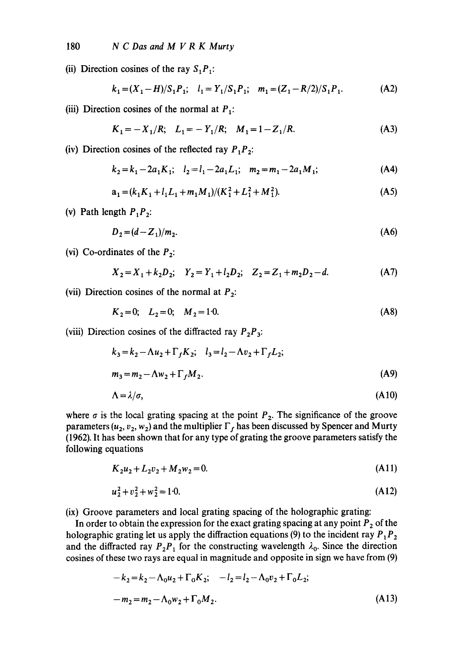(ii) Direction cosines of the ray  $S_1P_1$ :

$$
k_1 = (X_1 - H)/S_1 P_1;
$$
  $l_1 = Y_1/S_1 P_1;$   $m_1 = (Z_1 - R/2)/S_1 P_1.$  (A2)

(iii) Direction cosines of the normal at  $P_1$ :

$$
K_1 = -X_1/R; \quad L_1 = -Y_1/R; \quad M_1 = 1 - Z_1/R. \tag{A3}
$$

(iv) Direction cosines of the reflected ray  $P_1P_2$ :

$$
k_2 = k_1 - 2a_1 K_1; \quad l_2 = l_1 - 2a_1 L_1; \quad m_2 = m_1 - 2a_1 M_1; \tag{A4}
$$

$$
a_1 = (k_1 K_1 + l_1 L_1 + m_1 M_1)/(K_1^2 + L_1^2 + M_1^2). \tag{A5}
$$

(v) Path length  $P_1P_2$ :

$$
D_2 = (d - Z_1)/m_2. \tag{A6}
$$

(vi) Co-ordinates of the  $P_2$ :

$$
X_2 = X_1 + k_2 D_2; \quad Y_2 = Y_1 + l_2 D_2; \quad Z_2 = Z_1 + m_2 D_2 - d. \tag{A7}
$$

(vii) Direction cosines of the normal at  $P_2$ :

$$
K_2 = 0; \quad L_2 = 0; \quad M_2 = 10. \tag{A8}
$$

(viii) Direction cosines of the diffracted ray  $P_2P_3$ :

$$
k_3 = k_2 - \Lambda u_2 + \Gamma_f K_2; \quad l_3 = l_2 - \Lambda v_2 + \Gamma_f L_2; m_3 = m_2 - \Lambda w_2 + \Gamma_f M_2.
$$
 (A9)

$$
\Lambda = \lambda/\sigma,\tag{A10}
$$

where  $\sigma$  is the local grating spacing at the point  $P_2$ . The significance of the groove parameters ( $u_2, v_2, w_2$ ) and the multiplier  $\Gamma_f$  has been discussed by Spencer and Murty (1962). It has been shown that for any type of grating the groove parameters satisfy the following equations

$$
K_2 u_2 + L_2 v_2 + M_2 w_2 = 0. \tag{A11}
$$

$$
u_2^2 + v_2^2 + w_2^2 = 1.0.
$$
 (A12)

(ix) Groove parameters and local grating spacing of the holographic grating:

In order to obtain the expression for the exact grating spacing at any point  $P_2$  of the holographic grating let us apply the diffraction equations (9) to the incident ray  $P_1P_2$ and the diffracted ray  $P_2P_1$  for the constructing wavelength  $\lambda_0$ . Since the direction cosines of these two rays are equal in magnitude and opposite in sign we have from (9)

$$
-k_2 = k_2 - \Lambda_0 u_2 + \Gamma_0 K_2; \quad -l_2 = l_2 - \Lambda_0 v_2 + \Gamma_0 L_2;
$$
  

$$
-m_2 = m_2 - \Lambda_0 w_2 + \Gamma_0 M_2.
$$
 (A13)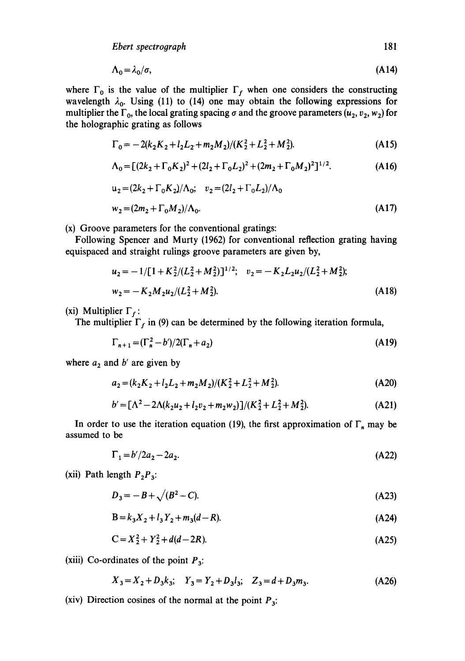*Ebert spectrograph* 181

$$
\Lambda_0 = \lambda_0 / \sigma, \tag{A14}
$$

where  $\Gamma_0$  is the value of the multiplier  $\Gamma_f$  when one considers the constructing wavelength  $\lambda_0$ . Using (11) to (14) one may obtain the following expressions for multiplier the  $\Gamma_0$ , the local grating spacing  $\sigma$  and the groove parameters (u<sub>2</sub>, v<sub>2</sub>, w<sub>2</sub>) for the holographic grating as follows

$$
\Gamma_0 = -2(k_2K_2 + l_2L_2 + m_2M_2)/(K_2^2 + L_2^2 + M_2^2). \tag{A15}
$$

$$
\Lambda_0 = \left[ (2k_2 + \Gamma_0 K_2)^2 + (2l_2 + \Gamma_0 L_2)^2 + (2m_2 + \Gamma_0 M_2)^2 \right]^{1/2}.
$$
 (A16)

$$
u_2 = (2k_2 + \Gamma_0 K_2)/\Lambda_0; \quad v_2 = (2l_2 + \Gamma_0 L_2)/\Lambda_0
$$
  

$$
w_2 = (2m_2 + \Gamma_0 M_2)/\Lambda_0.
$$
 (A17)

(x) Groove parameters for the conventional gratings:

Following Spencer and Murty (1962) for conventional reflection grating having equispaced and straight rulings groove parameters are given by,

$$
u_2 = -1/[1 + K_2^2/(L_2^2 + M_2^2)]^{1/2}; \quad v_2 = -K_2 L_2 u_2/(L_2^2 + M_2^2);
$$
  

$$
w_2 = -K_2 M_2 u_2/(L_2^2 + M_2^2).
$$
 (A18)

(xi) Multiplier  $\Gamma_f$ :

The multiplier  $\Gamma_f$  in (9) can be determined by the following iteration formula,

$$
\Gamma_{n+1} = (\Gamma_n^2 - b')/2(\Gamma_n + a_2)
$$
 (A19)

where  $a_2$  and  $b'$  are given by

$$
a_2 = (k_2 K_2 + l_2 L_2 + m_2 M_2)/(K_2^2 + L_2^2 + M_2^2). \tag{A20}
$$

$$
b' = [\Lambda^2 - 2\Lambda(k_2u_2 + l_2v_2 + m_2w_2)]/(K_2^2 + L_2^2 + M_2^2). \tag{A21}
$$

In order to use the iteration equation (19), the first approximation of  $\Gamma_n$  may be assumed to be

$$
\Gamma_1 = b'/2a_2 - 2a_2. \tag{A22}
$$

(xii) Path length  $P_2P_3$ :

$$
D_3 = -B + \sqrt{(B^2 - C)}.
$$
 (A23)

$$
B = k_3 X_2 + l_3 Y_2 + m_3 (d - R). \tag{A24}
$$

$$
C = X_2^2 + Y_2^2 + d(d - 2R). \tag{A25}
$$

(xiii) Co-ordinates of the point  $P_3$ :

$$
X_3 = X_2 + D_3 k_3; \quad Y_3 = Y_2 + D_3 l_3; \quad Z_3 = d + D_3 m_3.
$$
 (A26)

(xiv) Direction cosines of the normal at the point  $P_3$ :